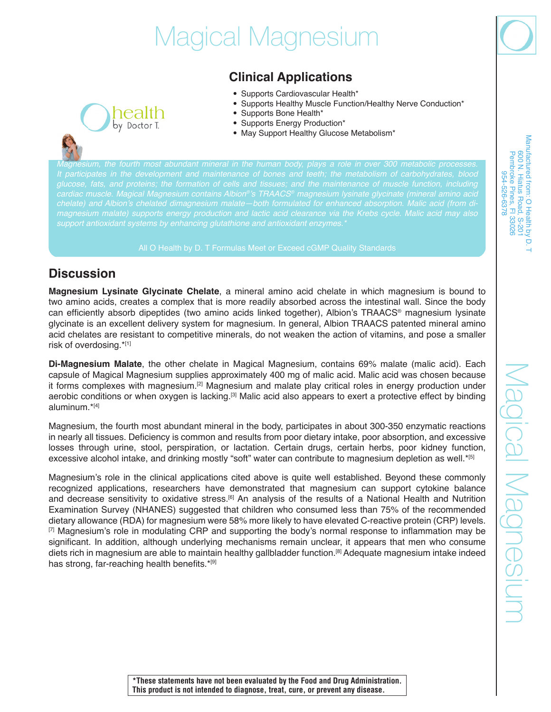# Magical Magnesium

# **Clinical Applications**

- Supports Cardiovascular Health\*
- Supports Healthy Muscle Function/Healthy Nerve Conduction\*
- Supports Bone Health\*
- Supports Energy Production\*
- May Support Healthy Glucose Metabolism\*

*Magnesium, the fourth most abundant mineral in the human body, plays a role in over 300 metabolic processes. It participates in the development and maintenance of bones and teeth; the metabolism of carbohydrates, blood glucose, fats, and proteins; the formation of cells and tissues; and the maintenance of muscle function, including cardiac muscle. Magical Magnesium contains Albion®*'s TRAACS*® magnesium lysinate glycinate (mineral amino acid*  chelate) and Albion's chelated dimagnesium malate—both formulated for enhanced absorption. Malic acid (from di*support antioxidant systems by enhancing glutathione and antioxidant enzymes.\**

### **Discussion**

nealth by Doctor T.

**Magnesium Lysinate Glycinate Chelate**, a mineral amino acid chelate in which magnesium is bound to two amino acids, creates a complex that is more readily absorbed across the intestinal wall. Since the body can efficiently absorb dipeptides (two amino acids linked together), Albion's TRAACS® magnesium lysinate glycinate is an excellent delivery system for magnesium. In general, Albion TRAACS patented mineral amino acid chelates are resistant to competitive minerals, do not weaken the action of vitamins, and pose a smaller risk of overdosing.\*[1]

**Di-Magnesium Malate**, the other chelate in Magical Magnesium, contains 69% malate (malic acid). Each capsule of Magical Magnesium supplies approximately 400 mg of malic acid. Malic acid was chosen because it forms complexes with magnesium.<sup>[2]</sup> Magnesium and malate play critical roles in energy production under aerobic conditions or when oxygen is lacking.<sup>[3]</sup> Malic acid also appears to exert a protective effect by binding aluminum.\*[4]

Magnesium, the fourth most abundant mineral in the body, participates in about 300-350 enzymatic reactions in nearly all tissues. Deficiency is common and results from poor dietary intake, poor absorption, and excessive losses through urine, stool, perspiration, or lactation. Certain drugs, certain herbs, poor kidney function, excessive alcohol intake, and drinking mostly "soft" water can contribute to magnesium depletion as well.\*[5]

Magnesium's role in the clinical applications cited above is quite well established. Beyond these commonly recognized applications, researchers have demonstrated that magnesium can support cytokine balance and decrease sensitivity to oxidative stress.<sup>[6]</sup> An analysis of the results of a National Health and Nutrition Examination Survey (NHANES) suggested that children who consumed less than 75% of the recommended dietary allowance (RDA) for magnesium were 58% more likely to have elevated C-reactive protein (CRP) levels.  $[7]$  Magnesium's role in modulating CRP and supporting the body's normal response to inflammation may be significant. In addition, although underlying mechanisms remain unclear, it appears that men who consume diets rich in magnesium are able to maintain healthy gallbladder function.[8] Adequate magnesium intake indeed has strong, far-reaching health benefits.\*[9]

Madical Magnesium

**\*These statements have not been evaluated by the Food and Drug Administration. This product is not intended to diagnose, treat, cure, or prevent any disease.**